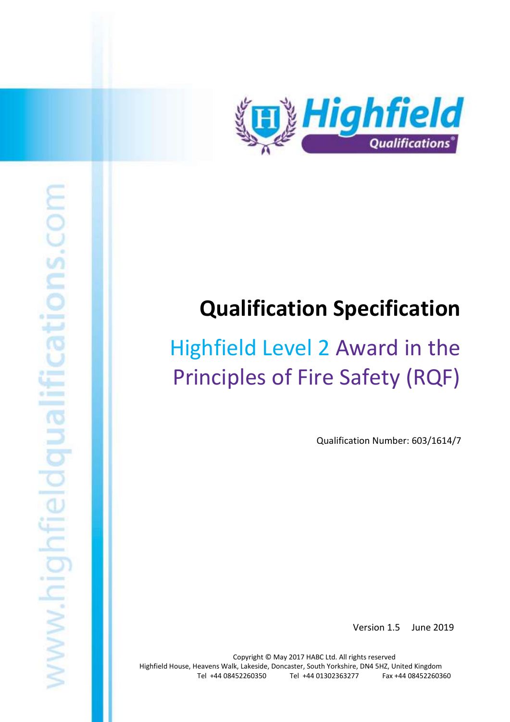

# **Qualification Specification**

# Highfield Level 2 Award in the Principles of Fire Safety (RQF)

Qualification Number: 603/1614/7

Version 1.5 June 2019

Highfield Level 2 Award in the Principles of Fire Safety (RQF) 1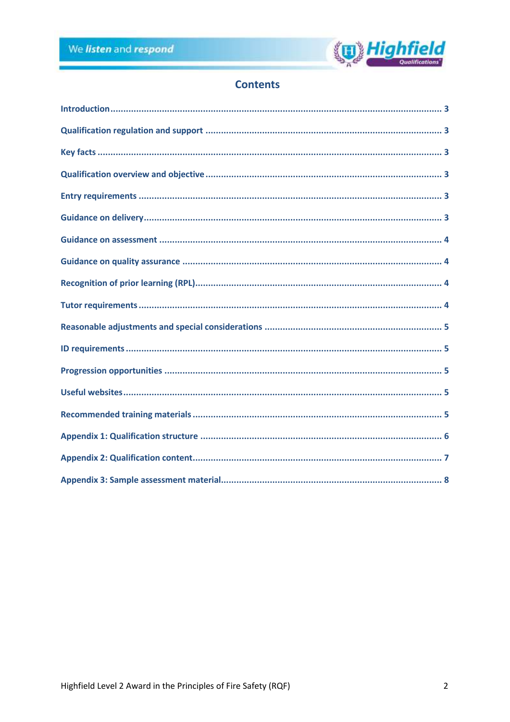

# **Contents**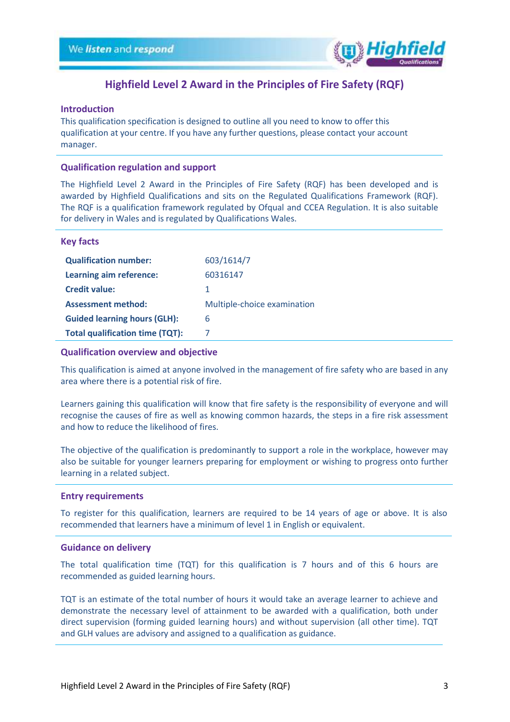

# **Highfield Level 2 Award in the Principles of Fire Safety (RQF)**

#### <span id="page-2-0"></span>**Introduction**

This qualification specification is designed to outline all you need to know to offer this qualification at your centre. If you have any further questions, please contact your account manager.

#### <span id="page-2-1"></span>**Qualification regulation and support**

The Highfield Level 2 Award in the Principles of Fire Safety (RQF) has been developed and is awarded by Highfield Qualifications and sits on the Regulated Qualifications Framework (RQF). The RQF is a qualification framework regulated by Ofqual and CCEA Regulation. It is also suitable for delivery in Wales and is regulated by Qualifications Wales.

#### <span id="page-2-2"></span>**Key facts**

| <b>Qualification number:</b>           | 603/1614/7                  |
|----------------------------------------|-----------------------------|
| Learning aim reference:                | 60316147                    |
| <b>Credit value:</b>                   | 1                           |
| <b>Assessment method:</b>              | Multiple-choice examination |
| <b>Guided learning hours (GLH):</b>    | 6                           |
| <b>Total qualification time (TQT):</b> |                             |

#### <span id="page-2-3"></span>**Qualification overview and objective**

This qualification is aimed at anyone involved in the management of fire safety who are based in any area where there is a potential risk of fire.

Learners gaining this qualification will know that fire safety is the responsibility of everyone and will recognise the causes of fire as well as knowing common hazards, the steps in a fire risk assessment and how to reduce the likelihood of fires.

The objective of the qualification is predominantly to support a role in the workplace, however may also be suitable for younger learners preparing for employment or wishing to progress onto further learning in a related subject.

#### <span id="page-2-4"></span>**Entry requirements**

To register for this qualification, learners are required to be 14 years of age or above. It is also recommended that learners have a minimum of level 1 in English or equivalent.

#### <span id="page-2-5"></span>**Guidance on delivery**

The total qualification time (TQT) for this qualification is 7 hours and of this 6 hours are recommended as guided learning hours.

TQT is an estimate of the total number of hours it would take an average learner to achieve and demonstrate the necessary level of attainment to be awarded with a qualification, both under direct supervision (forming guided learning hours) and without supervision (all other time). TQT and GLH values are advisory and assigned to a qualification as guidance.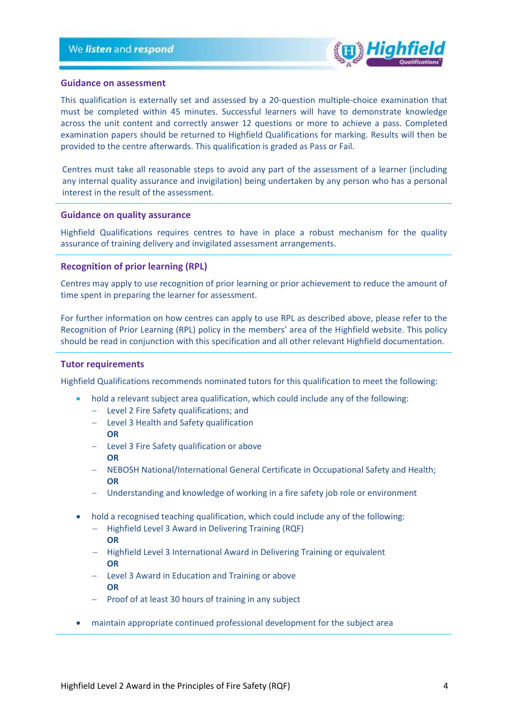

#### <span id="page-3-0"></span>**Guidance on assessment**

This qualification is externally set and assessed by a 20-question multiple-choice examination that must be completed within 45 minutes. Successful learners will have to demonstrate knowledge across the unit content and correctly answer 12 questions or more to achieve a pass. Completed examination papers should be returned to Highfield Qualifications for marking. Results will then be provided to the centre afterwards. This qualification is graded as Pass or Fail.

Centres must take all reasonable steps to avoid any part of the assessment of a learner (including any internal quality assurance and invigilation) being undertaken by any person who has a personal interest in the result of the assessment.

#### <span id="page-3-1"></span>**Guidance on quality assurance**

Highfield Qualifications requires centres to have in place a robust mechanism for the quality assurance of training delivery and invigilated assessment arrangements.

#### <span id="page-3-2"></span>**Recognition of prior learning (RPL)**

Centres may apply to use recognition of prior learning or prior achievement to reduce the amount of time spent in preparing the learner for assessment.

For further information on how centres can apply to use RPL as described above, please refer to the Recognition of Prior Learning (RPL) policy in the members' area of the Highfield website. This policy should be read in conjunction with this specification and all other relevant Highfield documentation.

#### <span id="page-3-3"></span>**Tutor requirements**

Highfield Qualifications recommends nominated tutors for this qualification to meet the following:

- hold a relevant subject area qualification, which could include any of the following:
	- − Level 2 Fire Safety qualifications; and
	- − Level 3 Health and Safety qualification
	- **OR**
	- − Level 3 Fire Safety qualification or above **OR**
	- − NEBOSH National/International General Certificate in Occupational Safety and Health; **OR**
	- − Understanding and knowledge of working in a fire safety job role or environment
- hold a recognised teaching qualification, which could include any of the following:
	- − Highfield Level 3 Award in Delivering Training (RQF) **OR**
	- − Highfield Level 3 International Award in Delivering Training or equivalent **OR**
	- − Level 3 Award in Education and Training or above **OR**
	- − Proof of at least 30 hours of training in any subject
- maintain appropriate continued professional development for the subject area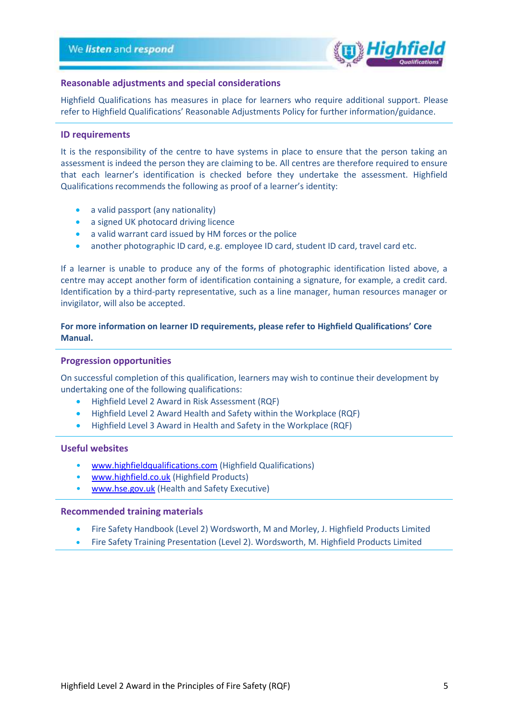

#### <span id="page-4-0"></span>**Reasonable adjustments and special considerations**

Highfield Qualifications has measures in place for learners who require additional support. Please refer to Highfield Qualifications' Reasonable Adjustments Policy for further information/guidance.

#### <span id="page-4-1"></span>**ID requirements**

It is the responsibility of the centre to have systems in place to ensure that the person taking an assessment is indeed the person they are claiming to be. All centres are therefore required to ensure that each learner's identification is checked before they undertake the assessment. Highfield Qualifications recommends the following as proof of a learner's identity:

- a valid passport (any nationality)
- a signed UK photocard driving licence
- a valid warrant card issued by HM forces or the police
- another photographic ID card, e.g. employee ID card, student ID card, travel card etc.

If a learner is unable to produce any of the forms of photographic identification listed above, a centre may accept another form of identification containing a signature, for example, a credit card. Identification by a third-party representative, such as a line manager, human resources manager or invigilator, will also be accepted.

### **For more information on learner ID requirements, please refer to Highfield Qualifications' Core Manual.**

#### <span id="page-4-2"></span>**Progression opportunities**

On successful completion of this qualification, learners may wish to continue their development by undertaking one of the following qualifications:

- Highfield Level 2 Award in Risk Assessment (RQF)
- Highfield Level 2 Award Health and Safety within the Workplace (RQF)
- Highfield Level 3 Award in Health and Safety in the Workplace (RQF)

#### <span id="page-4-3"></span>**Useful websites**

- [www.highfieldqualifications.com](http://www.highfieldqualifications.com/) (Highfield Qualifications)
- [www.highfield.co.uk](http://www.highfield.co.uk/) (Highfield Products)
- [www.hse.gov.uk](http://www.hse.gov.uk/) (Health and Safety Executive)

#### <span id="page-4-4"></span>**Recommended training materials**

- Fire Safety Handbook (Level 2) Wordsworth, M and Morley, J. Highfield Products Limited
- Fire Safety Training Presentation (Level 2). Wordsworth, M. Highfield Products Limited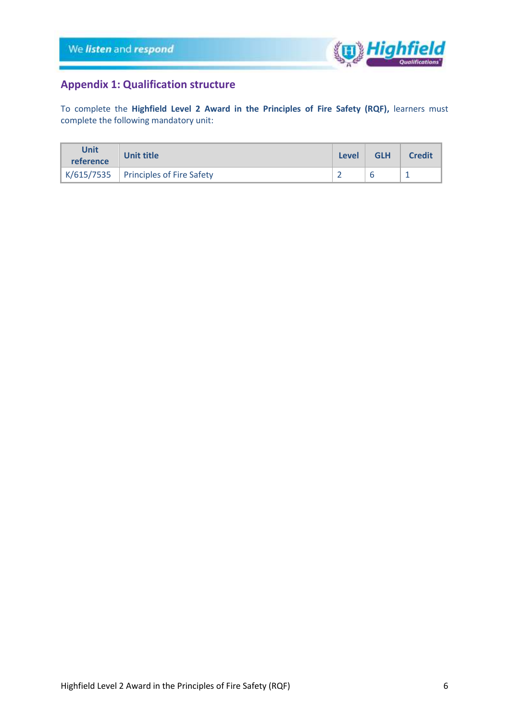

# <span id="page-5-0"></span>**Appendix 1: Qualification structure**

To complete the **Highfield Level 2 Award in the Principles of Fire Safety (RQF),** learners must complete the following mandatory unit:

| Unit<br>reference | Unit title                             |  | <b>GLH</b> | <b>Credit</b> |
|-------------------|----------------------------------------|--|------------|---------------|
|                   | $K/615/7535$ Principles of Fire Safety |  |            |               |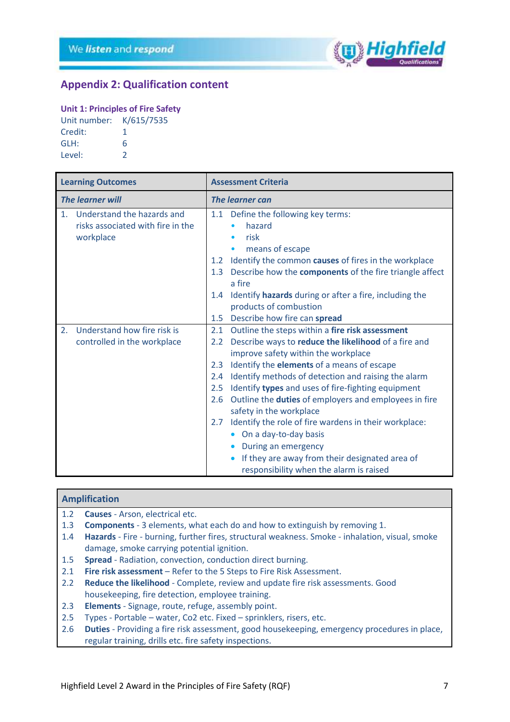

## <span id="page-6-0"></span>**Appendix 2: Qualification content**

#### **Unit 1: Principles of Fire Safety**

| Unit number: | K/615/7535 |
|--------------|------------|
| Credit:      | 1          |
| GLH:         | 6          |
| Level:       | 2          |

|                         | <b>Learning Outcomes</b>          |                        | <b>Assessment Criteria</b>                                                                |
|-------------------------|-----------------------------------|------------------------|-------------------------------------------------------------------------------------------|
| <b>The learner will</b> |                                   | <b>The learner can</b> |                                                                                           |
| 1 <sub>1</sub>          | Understand the hazards and        | 1.1                    | Define the following key terms:                                                           |
|                         | risks associated with fire in the |                        | hazard                                                                                    |
|                         | workplace                         |                        | risk<br>$\bullet$                                                                         |
|                         |                                   |                        | means of escape<br>$\bullet$                                                              |
|                         |                                   | 1.2                    | Identify the common causes of fires in the workplace                                      |
|                         |                                   | 1.3                    | Describe how the <b>components</b> of the fire triangle affect                            |
|                         |                                   |                        | a fire                                                                                    |
|                         |                                   | $1.4^{\circ}$          | Identify hazards during or after a fire, including the                                    |
|                         |                                   |                        | products of combustion                                                                    |
|                         |                                   |                        | 1.5 Describe how fire can spread                                                          |
| 2.                      | Understand how fire risk is       | 2.1                    | Outline the steps within a fire risk assessment                                           |
|                         | controlled in the workplace       | $2.2^{\circ}$          | Describe ways to reduce the likelihood of a fire and                                      |
|                         |                                   |                        | improve safety within the workplace                                                       |
|                         |                                   | 2.3                    | Identify the <b>elements</b> of a means of escape                                         |
|                         |                                   | 2.4                    | Identify methods of detection and raising the alarm                                       |
|                         |                                   | 2.5                    | Identify types and uses of fire-fighting equipment                                        |
|                         |                                   | 2.6                    | Outline the <b>duties</b> of employers and employees in fire                              |
|                         |                                   |                        | safety in the workplace                                                                   |
|                         |                                   | $2.7^{\circ}$          | Identify the role of fire wardens in their workplace:                                     |
|                         |                                   |                        | • On a day-to-day basis                                                                   |
|                         |                                   |                        | During an emergency<br>$\bullet$                                                          |
|                         |                                   |                        | If they are away from their designated area of<br>responsibility when the alarm is raised |

#### **Amplification**

- 1.2 **Causes** Arson, electrical etc.
- 1.3 **Components** 3 elements, what each do and how to extinguish by removing 1.
- 1.4 **Hazards** Fire burning, further fires, structural weakness. Smoke inhalation, visual, smoke damage, smoke carrying potential ignition.
- 1.5 **Spread** Radiation, convection, conduction direct burning.
- 2.1 **Fire risk assessment** Refer to the 5 Steps to Fire Risk Assessment.
- 2.2 **Reduce the likelihood** Complete, review and update fire risk assessments. Good housekeeping, fire detection, employee training.
- 2.3 **Elements** Signage, route, refuge, assembly point.
- 2.5 Types Portable water, Co2 etc. Fixed sprinklers, risers, etc.
- 2.6 **Duties** Providing a fire risk assessment, good housekeeping, emergency procedures in place, regular training, drills etc. fire safety inspections.